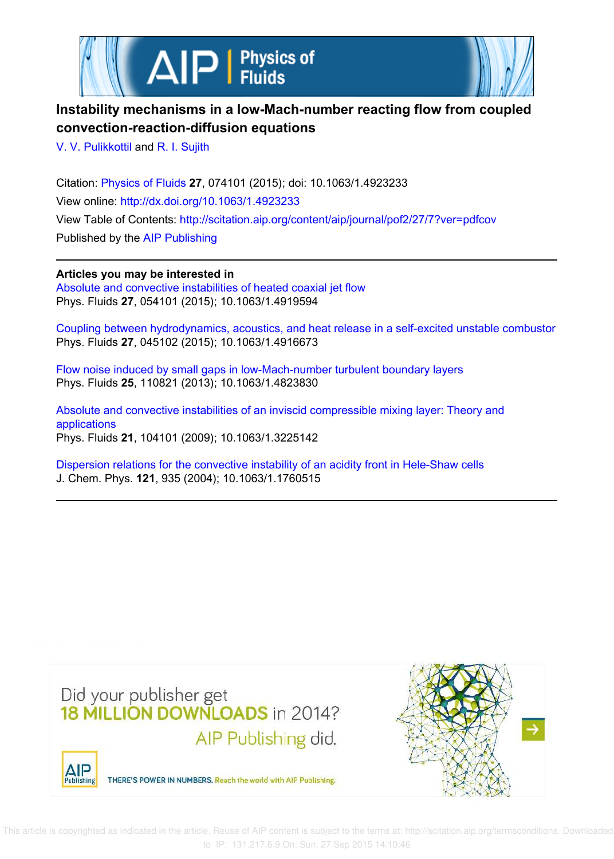



# **Instability mechanisms in a low-Mach-number reacting flow from coupled convection-reaction-diffusion equations**

V. V. Pulikkottil and R. I. Sujith

Citation: Physics of Fluids **27**, 074101 (2015); doi: 10.1063/1.4923233 View online: http://dx.doi.org/10.1063/1.4923233 View Table of Contents: http://scitation.aip.org/content/aip/journal/pof2/27/7?ver=pdfcov Published by the AIP Publishing

**Articles you may be interested in** Absolute and convective instabilities of heated coaxial jet flow Phys. Fluids **27**, 054101 (2015); 10.1063/1.4919594

Coupling between hydrodynamics, acoustics, and heat release in a self-excited unstable combustor Phys. Fluids **27**, 045102 (2015); 10.1063/1.4916673

Flow noise induced by small gaps in low-Mach-number turbulent boundary layers Phys. Fluids **25**, 110821 (2013); 10.1063/1.4823830

Absolute and convective instabilities of an inviscid compressible mixing layer: Theory and applications Phys. Fluids **21**, 104101 (2009); 10.1063/1.3225142

Dispersion relations for the convective instability of an acidity front in Hele-Shaw cells J. Chem. Phys. **121**, 935 (2004); 10.1063/1.1760515



THERE'S POWER IN NUMBERS. Reach the world with AIP Publishing.



ΔIΡ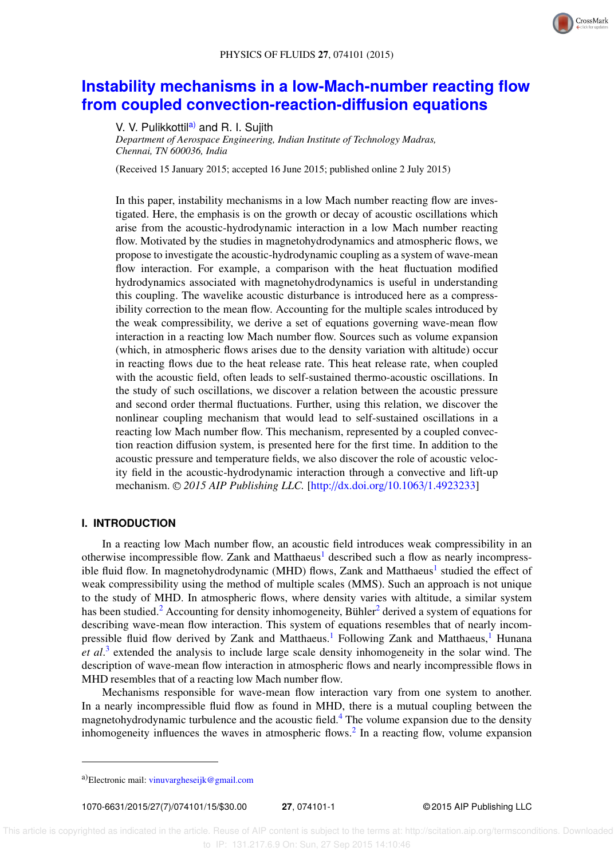

# **Instability mechanisms in a low-Mach-number reacting flow from coupled convection-reaction-diffusion equations**

V. V. Pulikkottil<sup>a)</sup> and R. I. Sujith

*Department of Aerospace Engineering, Indian Institute of Technology Madras, Chennai, TN 600036, India*

(Received 15 January 2015; accepted 16 June 2015; published online 2 July 2015)

In this paper, instability mechanisms in a low Mach number reacting flow are investigated. Here, the emphasis is on the growth or decay of acoustic oscillations which arise from the acoustic-hydrodynamic interaction in a low Mach number reacting flow. Motivated by the studies in magnetohydrodynamics and atmospheric flows, we propose to investigate the acoustic-hydrodynamic coupling as a system of wave-mean flow interaction. For example, a comparison with the heat fluctuation modified hydrodynamics associated with magnetohydrodynamics is useful in understanding this coupling. The wavelike acoustic disturbance is introduced here as a compressibility correction to the mean flow. Accounting for the multiple scales introduced by the weak compressibility, we derive a set of equations governing wave-mean flow interaction in a reacting low Mach number flow. Sources such as volume expansion (which, in atmospheric flows arises due to the density variation with altitude) occur in reacting flows due to the heat release rate. This heat release rate, when coupled with the acoustic field, often leads to self-sustained thermo-acoustic oscillations. In the study of such oscillations, we discover a relation between the acoustic pressure and second order thermal fluctuations. Further, using this relation, we discover the nonlinear coupling mechanism that would lead to self-sustained oscillations in a reacting low Mach number flow. This mechanism, represented by a coupled convection reaction diffusion system, is presented here for the first time. In addition to the acoustic pressure and temperature fields, we also discover the role of acoustic velocity field in the acoustic-hydrodynamic interaction through a convective and lift-up mechanism. <sup>C</sup> *2015 AIP Publishing LLC.* [http://dx.doi.org/10.1063/1.4923233]

### **I. INTRODUCTION**

In a reacting low Mach number flow, an acoustic field introduces weak compressibility in an otherwise incompressible flow. Zank and Matthaeus<sup>1</sup> described such a flow as nearly incompressible fluid flow. In magnetohydrodynamic (MHD) flows, Zank and Matthaeus<sup>1</sup> studied the effect of weak compressibility using the method of multiple scales (MMS). Such an approach is not unique to the study of MHD. In atmospheric flows, where density varies with altitude, a similar system has been studied.<sup>2</sup> Accounting for density inhomogeneity, Bühler<sup>2</sup> derived a system of equations for describing wave-mean flow interaction. This system of equations resembles that of nearly incompressible fluid flow derived by Zank and Matthaeus.<sup>1</sup> Following Zank and Matthaeus,<sup>1</sup> Hunana *et al*. 3 extended the analysis to include large scale density inhomogeneity in the solar wind. The description of wave-mean flow interaction in atmospheric flows and nearly incompressible flows in MHD resembles that of a reacting low Mach number flow.

Mechanisms responsible for wave-mean flow interaction vary from one system to another. In a nearly incompressible fluid flow as found in MHD, there is a mutual coupling between the magnetohydrodynamic turbulence and the acoustic field.<sup>4</sup> The volume expansion due to the density inhomogeneity influences the waves in atmospheric flows.<sup>2</sup> In a reacting flow, volume expansion

1070-6631/2015/27(7)/074101/15/\$30.00 **27**, 074101-1 © 2015 AIP Publishing LLC

a)Electronic mail: vinuvargheseijk@gmail.com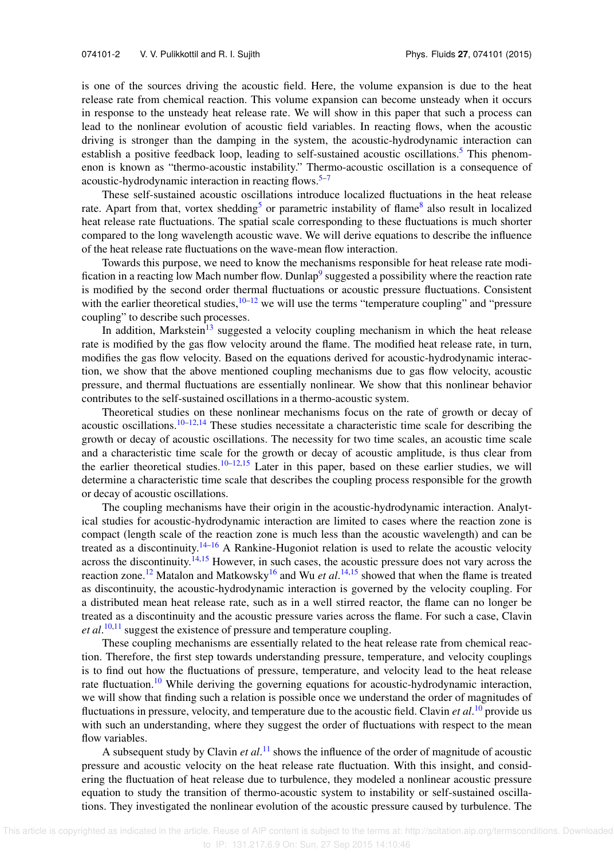is one of the sources driving the acoustic field. Here, the volume expansion is due to the heat release rate from chemical reaction. This volume expansion can become unsteady when it occurs in response to the unsteady heat release rate. We will show in this paper that such a process can lead to the nonlinear evolution of acoustic field variables. In reacting flows, when the acoustic driving is stronger than the damping in the system, the acoustic-hydrodynamic interaction can establish a positive feedback loop, leading to self-sustained acoustic oscillations.<sup>5</sup> This phenomenon is known as "thermo-acoustic instability." Thermo-acoustic oscillation is a consequence of acoustic-hydrodynamic interaction in reacting flows.<sup>5–7</sup>

These self-sustained acoustic oscillations introduce localized fluctuations in the heat release rate. Apart from that, vortex shedding<sup>5</sup> or parametric instability of flame<sup>8</sup> also result in localized heat release rate fluctuations. The spatial scale corresponding to these fluctuations is much shorter compared to the long wavelength acoustic wave. We will derive equations to describe the influence of the heat release rate fluctuations on the wave-mean flow interaction.

Towards this purpose, we need to know the mechanisms responsible for heat release rate modification in a reacting low Mach number flow. Dunlap<sup>9</sup> suggested a possibility where the reaction rate is modified by the second order thermal fluctuations or acoustic pressure fluctuations. Consistent with the earlier theoretical studies,  $10-12$  we will use the terms "temperature coupling" and "pressure coupling" to describe such processes.

In addition, Markstein<sup>13</sup> suggested a velocity coupling mechanism in which the heat release rate is modified by the gas flow velocity around the flame. The modified heat release rate, in turn, modifies the gas flow velocity. Based on the equations derived for acoustic-hydrodynamic interaction, we show that the above mentioned coupling mechanisms due to gas flow velocity, acoustic pressure, and thermal fluctuations are essentially nonlinear. We show that this nonlinear behavior contributes to the self-sustained oscillations in a thermo-acoustic system.

Theoretical studies on these nonlinear mechanisms focus on the rate of growth or decay of acoustic oscillations.<sup>10–12,14</sup> These studies necessitate a characteristic time scale for describing the growth or decay of acoustic oscillations. The necessity for two time scales, an acoustic time scale and a characteristic time scale for the growth or decay of acoustic amplitude, is thus clear from the earlier theoretical studies.<sup>10–12,15</sup> Later in this paper, based on these earlier studies, we will determine a characteristic time scale that describes the coupling process responsible for the growth or decay of acoustic oscillations.

The coupling mechanisms have their origin in the acoustic-hydrodynamic interaction. Analytical studies for acoustic-hydrodynamic interaction are limited to cases where the reaction zone is compact (length scale of the reaction zone is much less than the acoustic wavelength) and can be treated as a discontinuity.<sup>14–16</sup> A Rankine-Hugoniot relation is used to relate the acoustic velocity across the discontinuity.<sup>14,15</sup> However, in such cases, the acoustic pressure does not vary across the reaction zone.<sup>12</sup> Matalon and Matkowsky<sup>16</sup> and Wu *et al*.<sup>14,15</sup> showed that when the flame is treated as discontinuity, the acoustic-hydrodynamic interaction is governed by the velocity coupling. For a distributed mean heat release rate, such as in a well stirred reactor, the flame can no longer be treated as a discontinuity and the acoustic pressure varies across the flame. For such a case, Clavin *et al*. 10,11 suggest the existence of pressure and temperature coupling.

These coupling mechanisms are essentially related to the heat release rate from chemical reaction. Therefore, the first step towards understanding pressure, temperature, and velocity couplings is to find out how the fluctuations of pressure, temperature, and velocity lead to the heat release rate fluctuation.<sup>10</sup> While deriving the governing equations for acoustic-hydrodynamic interaction, we will show that finding such a relation is possible once we understand the order of magnitudes of fluctuations in pressure, velocity, and temperature due to the acoustic field. Clavin *et al*. <sup>10</sup> provide us with such an understanding, where they suggest the order of fluctuations with respect to the mean flow variables.

A subsequent study by Clavin *et al*. <sup>11</sup> shows the influence of the order of magnitude of acoustic pressure and acoustic velocity on the heat release rate fluctuation. With this insight, and considering the fluctuation of heat release due to turbulence, they modeled a nonlinear acoustic pressure equation to study the transition of thermo-acoustic system to instability or self-sustained oscillations. They investigated the nonlinear evolution of the acoustic pressure caused by turbulence. The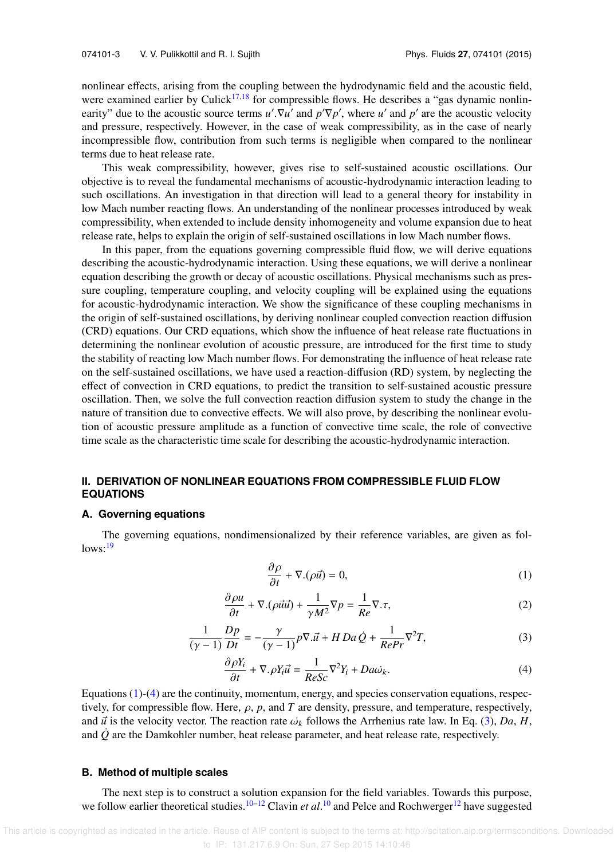nonlinear effects, arising from the coupling between the hydrodynamic field and the acoustic field, were examined earlier by Culick<sup>17,18</sup> for compressible flows. He describes a "gas dynamic nonlinearity" due to the acoustic source terms  $u'$ .  $\nabla u'$  and  $p' \nabla p'$ , where *u'* and  $p'$  are the acoustic velocity and pressure, respectively. However, in the case of weak compressibility, as in the case of nearly incompressible flow, contribution from such terms is negligible when compared to the nonlinear terms due to heat release rate.

This weak compressibility, however, gives rise to self-sustained acoustic oscillations. Our objective is to reveal the fundamental mechanisms of acoustic-hydrodynamic interaction leading to such oscillations. An investigation in that direction will lead to a general theory for instability in low Mach number reacting flows. An understanding of the nonlinear processes introduced by weak compressibility, when extended to include density inhomogeneity and volume expansion due to heat release rate, helps to explain the origin of self-sustained oscillations in low Mach number flows.

In this paper, from the equations governing compressible fluid flow, we will derive equations describing the acoustic-hydrodynamic interaction. Using these equations, we will derive a nonlinear equation describing the growth or decay of acoustic oscillations. Physical mechanisms such as pressure coupling, temperature coupling, and velocity coupling will be explained using the equations for acoustic-hydrodynamic interaction. We show the significance of these coupling mechanisms in the origin of self-sustained oscillations, by deriving nonlinear coupled convection reaction diffusion (CRD) equations. Our CRD equations, which show the influence of heat release rate fluctuations in determining the nonlinear evolution of acoustic pressure, are introduced for the first time to study the stability of reacting low Mach number flows. For demonstrating the influence of heat release rate on the self-sustained oscillations, we have used a reaction-diffusion (RD) system, by neglecting the effect of convection in CRD equations, to predict the transition to self-sustained acoustic pressure oscillation. Then, we solve the full convection reaction diffusion system to study the change in the nature of transition due to convective effects. We will also prove, by describing the nonlinear evolution of acoustic pressure amplitude as a function of convective time scale, the role of convective time scale as the characteristic time scale for describing the acoustic-hydrodynamic interaction.

## **II. DERIVATION OF NONLINEAR EQUATIONS FROM COMPRESSIBLE FLUID FLOW EQUATIONS**

#### **A. Governing equations**

The governing equations, nondimensionalized by their reference variables, are given as fol $lows:19$ 

$$
\frac{\partial \rho}{\partial t} + \nabla \cdot (\rho \vec{u}) = 0,\tag{1}
$$

$$
\frac{\partial \rho u}{\partial t} + \nabla \cdot (\rho \vec{u} \vec{u}) + \frac{1}{\gamma M^2} \nabla p = \frac{1}{Re} \nabla \cdot \tau,
$$
\n(2)

$$
\frac{1}{(\gamma - 1)} \frac{Dp}{Dt} = -\frac{\gamma}{(\gamma - 1)} p \nabla \cdot \vec{u} + H D a \dot{Q} + \frac{1}{RePr} \nabla^2 T,\tag{3}
$$

$$
\frac{\partial \rho Y_i}{\partial t} + \nabla \rho Y_i \vec{u} = \frac{1}{ReSc} \nabla^2 Y_i + Da \omega_k.
$$
 (4)

Equations (1)-(4) are the continuity, momentum, energy, and species conservation equations, respectively, for compressible flow. Here,  $\rho$ ,  $p$ , and  $T$  are density, pressure, and temperature, respectively, and  $\vec{u}$  is the velocity vector. The reaction rate  $\omega_k$  follows the Arrhenius rate law. In Eq. (3), *Da*, *H*, and  $\dot{Q}$  are the Damkohler number, heat release parameter, and heat release rate, respectively.

#### **B. Method of multiple scales**

The next step is to construct a solution expansion for the field variables. Towards this purpose, we follow earlier theoretical studies.<sup>10–12</sup> Clavin *et al*.<sup>10</sup> and Pelce and Rochwerger<sup>12</sup> have suggested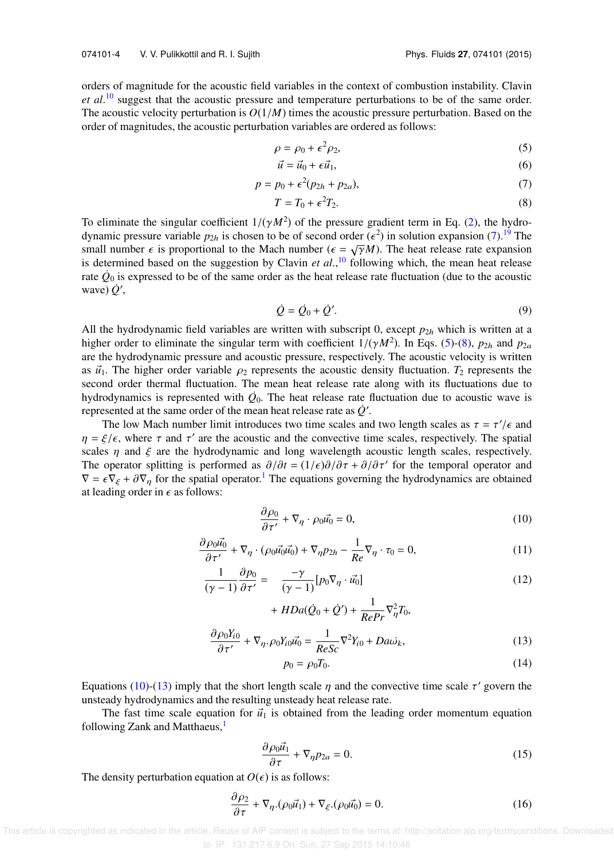orders of magnitude for the acoustic field variables in the context of combustion instability. Clavin *et al*. <sup>10</sup> suggest that the acoustic pressure and temperature perturbations to be of the same order. The acoustic velocity perturbation is  $O(1/M)$  times the acoustic pressure perturbation. Based on the order of magnitudes, the acoustic perturbation variables are ordered as follows:

$$
\rho = \rho_0 + \epsilon^2 \rho_2,\tag{5}
$$

$$
\vec{u} = \vec{u}_0 + \epsilon \vec{u}_1,\tag{6}
$$

$$
p = p_0 + \epsilon^2 (p_{2h} + p_{2a}),\tag{7}
$$

$$
T = T_0 + \epsilon^2 T_2. \tag{8}
$$

To eliminate the singular coefficient  $1/(\gamma M^2)$  of the pressure gradient term in Eq. (2), the hydrodynamic pressure variable  $p_{2h}$  is chosen to be of second order ( $\epsilon^2$ ) in solution expansion (7).<sup>19</sup> The small number  $\epsilon$  is proportional to the Mach number ( $\epsilon = \sqrt{\gamma}M$ ). The heat release rate expansion is determined based on the suggestion by Clavin *et al*., <sup>10</sup> following which, the mean heat release rate  $\dot{Q}_0$  is expressed to be of the same order as the heat release rate fluctuation (due to the acoustic wave)  $\dot{Q}'$ ,

$$
\dot{Q} = \dot{Q}_0 + \dot{Q}'.\tag{9}
$$

All the hydrodynamic field variables are written with subscript 0, except  $p_{2h}$  which is written at a higher order to eliminate the singular term with coefficient  $1/(\gamma M^2)$ . In Eqs. (5)-(8),  $p_{2h}$  and  $p_{2a}$ are the hydrodynamic pressure and acoustic pressure, respectively. The acoustic velocity is written as  $\vec{u}_1$ . The higher order variable  $\rho_2$  represents the acoustic density fluctuation.  $T_2$  represents the second order thermal fluctuation. The mean heat release rate along with its fluctuations due to hydrodynamics is represented with  $\dot{Q}_0$ . The heat release rate fluctuation due to acoustic wave is represented at the same order of the mean heat release rate as  $\dot{Q}'$ .

The low Mach number limit introduces two time scales and two length scales as  $\tau = \tau'/\epsilon$  and  $\eta = \xi/\epsilon$ , where  $\tau$  and  $\tau'$  are the acoustic and the convective time scales, respectively. The spatial scales  $\eta$  and  $\xi$  are the hydrodynamic and long wavelength acoustic length scales, respectively. The operator splitting is performed as  $\partial/\partial t = (1/\epsilon)\partial/\partial \tau + \partial/\partial \tau'$  for the temporal operator and  $\nabla = \epsilon \nabla_{\xi} + \partial \nabla_{\eta}$  for the spatial operator.<sup>1</sup> The equations governing the hydrodynamics are obtained at leading order in  $\epsilon$  as follows:

$$
\frac{\partial \rho_0}{\partial \tau'} + \nabla_\eta \cdot \rho_0 \vec{u_0} = 0, \tag{10}
$$

$$
\frac{\partial \rho_0 \vec{u_0}}{\partial \tau'} + \nabla_\eta \cdot (\rho_0 \vec{u_0} \vec{u_0}) + \nabla_\eta p_{2h} - \frac{1}{Re} \nabla_\eta \cdot \tau_0 = 0, \tag{11}
$$

$$
\frac{1}{(\gamma - 1)} \frac{\partial p_0}{\partial \tau'} = -\frac{-\gamma}{(\gamma - 1)} [p_0 \nabla_\eta \cdot \vec{u_0}]
$$
\n(12)

+  $HDa(\dot{Q}_0 + \dot{Q}') + \frac{1}{P_{00}}$  $\frac{1}{RePr} \nabla^2_{\eta} T_0$ 

$$
\frac{\partial \rho_0 Y_{i0}}{\partial \tau'} + \nabla_{\eta} \cdot \rho_0 Y_{i0} \vec{u_0} = \frac{1}{ReSc} \nabla^2 Y_{i0} + Da \vec{\omega}_k,\tag{13}
$$

$$
p_0 = \rho_0 T_0. \tag{14}
$$

Equations (10)-(13) imply that the short length scale  $\eta$  and the convective time scale  $\tau'$  govern the unsteady hydrodynamics and the resulting unsteady heat release rate.

The fast time scale equation for  $\vec{u}_1$  is obtained from the leading order momentum equation following Zank and Matthaeus,<sup>1</sup>

$$
\frac{\partial \rho_0 \vec{u}_1}{\partial \tau} + \nabla_{\eta} p_{2a} = 0. \tag{15}
$$

The density perturbation equation at  $O(\epsilon)$  is as follows:

$$
\frac{\partial \rho_2}{\partial \tau} + \nabla_{\eta} \cdot (\rho_0 \vec{u}_1) + \nabla_{\xi} \cdot (\rho_0 \vec{u}_0) = 0.
$$
 (16)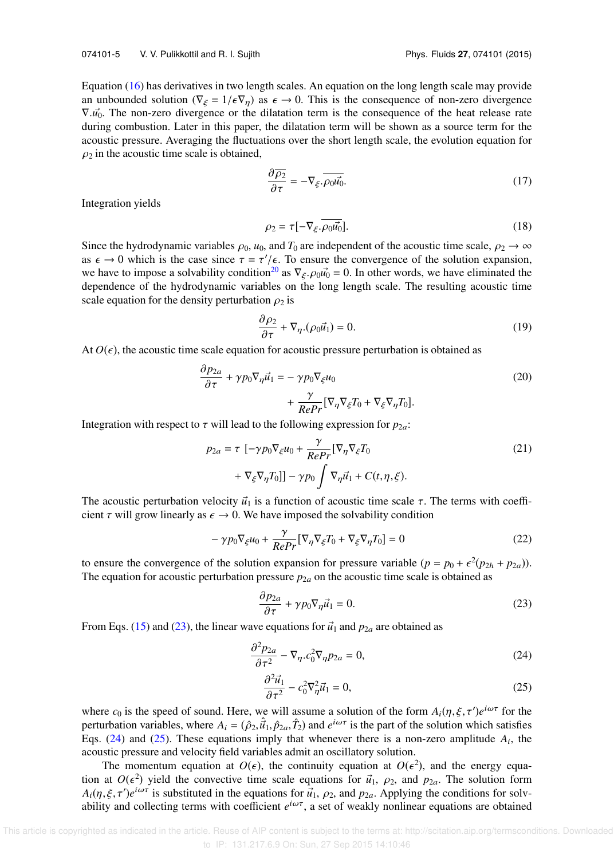Equation (16) has derivatives in two length scales. An equation on the long length scale may provide an unbounded solution ( $\nabla_{\xi} = 1/\epsilon \nabla_{\eta}$ ) as  $\epsilon \to 0$ . This is the consequence of non-zero divergence  $∇.u$ <sup>0</sup>. The non-zero divergence or the dilatation term is the consequence of the heat release rate during combustion. Later in this paper, the dilatation term will be shown as a source term for the acoustic pressure. Averaging the fluctuations over the short length scale, the evolution equation for  $\rho_2$  in the acoustic time scale is obtained,

$$
\frac{\partial \overline{\rho_2}}{\partial \tau} = -\nabla_{\xi} \cdot \overline{\rho_0 u_0^2}.
$$
\n(17)

Integration yields

$$
\rho_2 = \tau [-\nabla_{\xi} \cdot \overline{\rho_0 \vec{u_0}}]. \tag{18}
$$

Since the hydrodynamic variables  $\rho_0$ ,  $u_0$ , and  $T_0$  are independent of the acoustic time scale,  $\rho_2 \to \infty$ as  $\epsilon \to 0$  which is the case since  $\tau = \tau'/\epsilon$ . To ensure the convergence of the solution expansion, we have to impose a solvability condition<sup>20</sup> as  $\nabla_{\xi}$ .  $\rho_0 u_0^2 = 0$ . In other words, we have eliminated the dependence of the hydrodynamic variables on the long length scale. The resulting acoustic time scale equation for the density perturbation  $\rho_2$  is

$$
\frac{\partial \rho_2}{\partial \tau} + \nabla_{\eta} . (\rho_0 \vec{u}_1) = 0. \tag{19}
$$

At  $O(\epsilon)$ , the acoustic time scale equation for acoustic pressure perturbation is obtained as

$$
\frac{\partial p_{2a}}{\partial \tau} + \gamma p_0 \nabla_{\eta} \vec{u}_1 = -\gamma p_0 \nabla_{\xi} u_0 \n+ \frac{\gamma}{RePr} [\nabla_{\eta} \nabla_{\xi} T_0 + \nabla_{\xi} \nabla_{\eta} T_0].
$$
\n(20)

Integration with respect to  $\tau$  will lead to the following expression for  $p_{2a}$ :

$$
p_{2a} = \tau \left[ -\gamma p_0 \nabla_{\xi} u_0 + \frac{\gamma}{RePr} [\nabla_{\eta} \nabla_{\xi} T_0 + \nabla_{\xi} \nabla_{\eta} T_0] \right] - \gamma p_0 \int \nabla_{\eta} \vec{u}_1 + C(t, \eta, \xi).
$$
\n(21)

The acoustic perturbation velocity  $\vec{u}_1$  is a function of acoustic time scale  $\tau$ . The terms with coefficient  $\tau$  will grow linearly as  $\epsilon \to 0$ . We have imposed the solvability condition

$$
-\gamma p_0 \nabla_{\xi} u_0 + \frac{\gamma}{RePr} [\nabla_{\eta} \nabla_{\xi} T_0 + \nabla_{\xi} \nabla_{\eta} T_0] = 0
$$
\n(22)

to ensure the convergence of the solution expansion for pressure variable  $(p = p_0 + \epsilon^2(p_{2h} + p_{2a}))$ . The equation for acoustic perturbation pressure  $p_{2a}$  on the acoustic time scale is obtained as

$$
\frac{\partial p_{2a}}{\partial \tau} + \gamma p_0 \nabla_\eta \vec{u}_1 = 0.
$$
 (23)

From Eqs. (15) and (23), the linear wave equations for  $\vec{u}_1$  and  $p_{2a}$  are obtained as

$$
\frac{\partial^2 p_{2a}}{\partial \tau^2} - \nabla_{\eta} c_0^2 \nabla_{\eta} p_{2a} = 0,
$$
\n(24)

$$
\frac{\partial^2 \vec{u}_1}{\partial \tau^2} - c_0^2 \nabla_\eta^2 \vec{u}_1 = 0,\tag{25}
$$

where  $c_0$  is the speed of sound. Here, we will assume a solution of the form  $A_i(\eta, \xi, \tau')e^{i\omega\tau}$  for the perturbation variables, where  $A_i = (\hat{\rho}_2, \hat{u}_1, \hat{p}_{2a}, \hat{T}_2)$  and  $e^{i\omega\tau}$  is the part of the solution which satisfies Eqs.  $(24)$  and  $(25)$ . These equations imply that whenever there is a non-zero amplitude  $A_i$ , the acoustic pressure and velocity field variables admit an oscillatory solution.

The momentum equation at  $O(\epsilon)$ , the continuity equation at  $O(\epsilon^2)$ , and the energy equation at  $O(\epsilon^2)$  yield the convective time scale equations for  $\vec{u}_1$ ,  $\rho_2$ , and  $p_{2a}$ . The solution form  $A_i(\eta, \xi, \tau')e^{i\omega\tau}$  is substituted in the equations for  $\vec{u}_1$ ,  $\rho_2$ , and  $p_{2a}$ . Applying the conditions for solvability and collecting terms with coefficient *e* <sup>i</sup>ωτ, a set of weakly nonlinear equations are obtained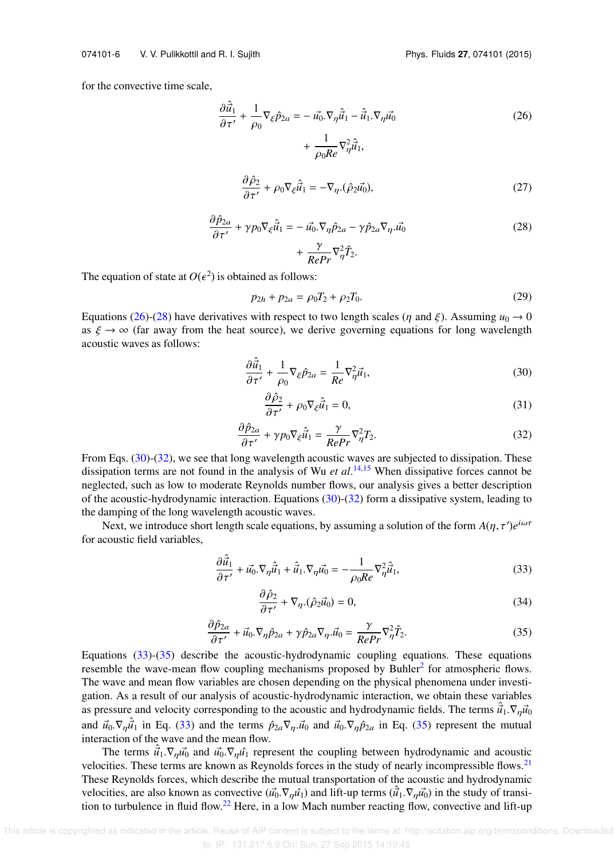for the convective time scale,

$$
\frac{\partial \hat{\vec{u}}_1}{\partial \tau'} + \frac{1}{\rho_0} \nabla_{\xi} \hat{p}_{2a} = -\vec{u_0} \cdot \nabla_{\eta} \hat{\vec{u}}_1 - \hat{\vec{u}}_1 \cdot \nabla_{\eta} \vec{u_0}
$$
\n
$$
+ \frac{1}{\rho_0 Re} \nabla_{\eta}^2 \hat{\vec{u}}_1,
$$
\n
$$
\frac{\partial \hat{\rho}_2}{\partial \tau} + \frac{\partial}{\partial \eta} \nabla_{\eta}^2 \hat{\vec{u}}_1 - \nabla_{\eta} (\hat{\vec{u}}_1 \cdot \vec{u}_2)
$$
\n(27)

$$
\frac{\partial \rho_2}{\partial \tau'} + \rho_0 \nabla_{\xi} \hat{u}_1 = -\nabla_{\eta} . (\hat{\rho}_2 \vec{u}_0), \tag{27}
$$

$$
\frac{\partial \hat{p}_{2a}}{\partial \tau'} + \gamma p_0 \nabla_{\xi} \hat{u}_1 = -\vec{u_0} \cdot \nabla_{\eta} \hat{p}_{2a} - \gamma \hat{p}_{2a} \nabla_{\eta} \cdot \vec{u_0} \n+ \frac{\gamma}{RePr} \nabla_{\eta}^2 \hat{T}_2.
$$
\n(28)

The equation of state at  $O(\epsilon^2)$  is obtained as follows:

$$
p_{2h} + p_{2a} = \rho_0 T_2 + \rho_2 T_0. \tag{29}
$$

Equations (26)-(28) have derivatives with respect to two length scales ( $\eta$  and  $\xi$ ). Assuming  $u_0 \to 0$ as  $\xi \to \infty$  (far away from the heat source), we derive governing equations for long wavelength acoustic waves as follows:

$$
\frac{\partial \hat{\vec{u}}_1}{\partial \tau'} + \frac{1}{\rho_0} \nabla_{\xi} \hat{p}_{2a} = \frac{1}{Re} \nabla_{\eta}^2 \vec{u}_1,\tag{30}
$$

$$
\frac{\partial \hat{\rho}_2}{\partial \tau'} + \rho_0 \nabla_{\xi} \hat{\vec{u}}_1 = 0, \tag{31}
$$

$$
\frac{\partial \hat{p}_{2a}}{\partial \tau'} + \gamma p_0 \nabla_{\xi} \hat{u}_1 = \frac{\gamma}{RePr} \nabla_{\eta}^2 T_2.
$$
 (32)

From Eqs. (30)-(32), we see that long wavelength acoustic waves are subjected to dissipation. These dissipation terms are not found in the analysis of Wu *et al*. 14,15 When dissipative forces cannot be neglected, such as low to moderate Reynolds number flows, our analysis gives a better description of the acoustic-hydrodynamic interaction. Equations (30)-(32) form a dissipative system, leading to the damping of the long wavelength acoustic waves.

Next, we introduce short length scale equations, by assuming a solution of the form  $A(\eta, \tau')e^{i\omega\tau}$ for acoustic field variables,

$$
\frac{\partial \hat{\vec{u}}_1}{\partial \tau'} + \vec{u_0} \cdot \nabla_{\eta} \hat{\vec{u}}_1 + \hat{\vec{u}}_1 \cdot \nabla_{\eta} \vec{u_0} = -\frac{1}{\rho_0 Re} \nabla_{\eta}^2 \hat{\vec{u}}_1,
$$
\n(33)

$$
\frac{\partial \hat{\rho}_2}{\partial \tau'} + \nabla_{\eta} . (\hat{\rho}_2 \vec{u}_0) = 0, \tag{34}
$$

$$
\frac{\partial \hat{p}_{2a}}{\partial \tau'} + \vec{u}_0 \cdot \nabla_{\eta} \hat{p}_{2a} + \gamma \hat{p}_{2a} \nabla_{\eta} \cdot \vec{u}_0 = \frac{\gamma}{RePr} \nabla_{\eta}^2 \hat{T}_2.
$$
\n(35)

Equations (33)-(35) describe the acoustic-hydrodynamic coupling equations. These equations resemble the wave-mean flow coupling mechanisms proposed by Buhler<sup>2</sup> for atmospheric flows. The wave and mean flow variables are chosen depending on the physical phenomena under investigation. As a result of our analysis of acoustic-hydrodynamic interaction, we obtain these variables as pressure and velocity corresponding to the acoustic and hydrodynamic fields. The terms  $\hat{u}_1 \cdot \nabla_n \hat{u}_0$ and  $\vec{u}_0 \cdot \nabla_{\eta} \hat{u}_1$  in Eq. (33) and the terms  $\hat{p}_{2a} \nabla_{\eta} \cdot \vec{u}_0$  and  $\vec{u}_0 \cdot \nabla_{\eta} \hat{p}_{2a}$  in Eq. (35) represent the mutual interaction of the wave and the mean flow.

The terms  $\vec{u}_1 \cdot \nabla_{\eta} \vec{u}_0$  and  $\vec{u}_0 \cdot \nabla_{\eta} \hat{u}_1$  represent the coupling between hydrodynamic and acoustic velocities. These terms are known as Reynolds forces in the study of nearly incompressible flows. $21$ These Reynolds forces, which describe the mutual transportation of the acoustic and hydrodynamic velocities, are also known as convective  $(\vec{u_0} \cdot \nabla_{\eta} \hat{u_1})$  and lift-up terms  $(\hat{u_1} \cdot \nabla_{\eta} \hat{u_0})$  in the study of transition to turbulence in fluid flow.<sup>22</sup> Here, in a low Mach number reacting flow, convective and lift-up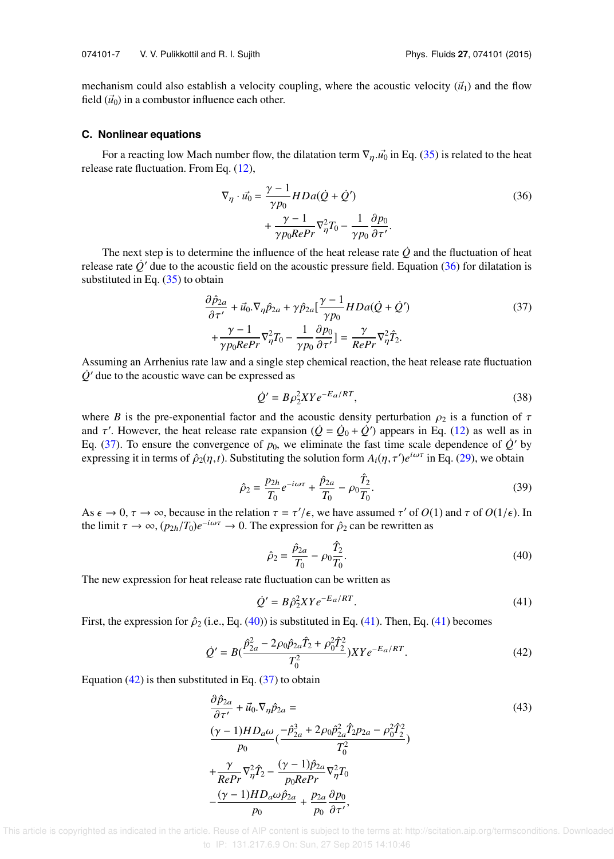mechanism could also establish a velocity coupling, where the acoustic velocity  $(\vec{u}_1)$  and the flow field  $(\vec{u}_0)$  in a combustor influence each other.

#### **C. Nonlinear equations**

For a reacting low Mach number flow, the dilatation term  $\nabla_n u_0$  in Eq. (35) is related to the heat release rate fluctuation. From Eq. (12),

$$
\nabla_{\eta} \cdot \vec{u_0} = \frac{\gamma - 1}{\gamma p_0} HDa(\dot{Q} + \dot{Q}') + \frac{\gamma - 1}{\gamma p_0 RePr} \nabla_{\eta}^2 T_0 - \frac{1}{\gamma p_0} \frac{\partial p_0}{\partial \tau'}.
$$
\n(36)

The next step is to determine the influence of the heat release rate  $\dot{Q}$  and the fluctuation of heat release rate  $\dot{Q}'$  due to the acoustic field on the acoustic pressure field. Equation (36) for dilatation is substituted in Eq. (35) to obtain

$$
\frac{\partial \hat{p}_{2a}}{\partial \tau'} + \vec{u}_0 \cdot \nabla_{\eta} \hat{p}_{2a} + \gamma \hat{p}_{2a} \left[ \frac{\gamma - 1}{\gamma p_0} H D a (\hat{Q} + \hat{Q}') \right] + \frac{\gamma - 1}{\gamma p_0 R e P r} \nabla_{\eta}^2 T_0 - \frac{1}{\gamma p_0} \frac{\partial p_0}{\partial \tau'} \left] = \frac{\gamma}{Re Pr} \nabla_{\eta}^2 \hat{T}_2.
$$
\n(37)

Assuming an Arrhenius rate law and a single step chemical reaction, the heat release rate fluctuation  $\dot{Q}$ <sup> $\prime$ </sup> due to the acoustic wave can be expressed as

$$
\dot{Q}' = B\rho_2^2 XY e^{-E_a/RT},\tag{38}
$$

where *B* is the pre-exponential factor and the acoustic density perturbation  $\rho_2$  is a function of  $\tau$ and  $\tau'$ . However, the heat release rate expansion  $(\dot{Q} = \dot{Q}_0 + \dot{Q}')$  appears in Eq. (12) as well as in Eq. (37). To ensure the convergence of  $p_0$ , we eliminate the fast time scale dependence of  $\dot{Q}'$  by expressing it in terms of  $\hat{\rho}_2(\eta, t)$ . Substituting the solution form  $A_i(\eta, \tau')e^{i\omega\tau}$  in Eq. (29), we obtain

$$
\hat{\rho}_2 = \frac{p_{2h}}{T_0} e^{-i\omega\tau} + \frac{\hat{p}_{2a}}{T_0} - \rho_0 \frac{\hat{T}_2}{T_0}.
$$
\n(39)

As  $\epsilon \to 0$ ,  $\tau \to \infty$ , because in the relation  $\tau = \tau'/\epsilon$ , we have assumed  $\tau'$  of  $O(1)$  and  $\tau$  of  $O(1/\epsilon)$ . In the limit  $\tau \to \infty$ ,  $(p_{2h}/T_0)e^{-i\omega\tau} \to 0$ . The expression for  $\hat{\rho}_2$  can be rewritten as

$$
\hat{\rho}_2 = \frac{\hat{p}_{2a}}{T_0} - \rho_0 \frac{\hat{T}_2}{T_0}.
$$
\n(40)

The new expression for heat release rate fluctuation can be written as

$$
\dot{Q}' = B\hat{\rho}_2^2 XY e^{-E_a/RT}.\tag{41}
$$

First, the expression for  $\hat{\rho}_2$  (i.e., Eq. (40)) is substituted in Eq. (41). Then, Eq. (41) becomes

$$
\dot{Q}' = B\left(\frac{\hat{p}_{2a}^2 - 2\rho_0 \hat{p}_{2a} \hat{T}_2 + \rho_0^2 \hat{T}_2^2}{T_0^2}\right) XY e^{-E_a/RT}.\tag{42}
$$

Equation  $(42)$  is then substituted in Eq.  $(37)$  to obtain

$$
\frac{\partial \hat{p}_{2a}}{\partial \tau'} + \vec{u}_0 \cdot \nabla_{\eta} \hat{p}_{2a} =
$$
\n
$$
\frac{(\gamma - 1)HD_a \omega}{p_0} \left( \frac{-\hat{p}_{2a}^3 + 2\rho_0 \hat{p}_{2a}^2 \hat{T}_2 p_{2a} - \rho_0^2 \hat{T}_2^2}{T_0^2} \right)
$$
\n
$$
+ \frac{\gamma}{RePr} \nabla_{\eta}^2 \hat{T}_2 - \frac{(\gamma - 1)\hat{p}_{2a}}{p_0 RePr} \nabla_{\eta}^2 T_0
$$
\n
$$
- \frac{(\gamma - 1)HD_a \omega \hat{p}_{2a}}{p_0} + \frac{p_{2a}}{p_0} \frac{\partial p_0}{\partial \tau'},
$$
\n(43)

 This article is copyrighted as indicated in the article. Reuse of AIP content is subject to the terms at: http://scitation.aip.org/termsconditions. Downloaded to IP: 131.217.6.9 On: Sun, 27 Sep 2015 14:10:46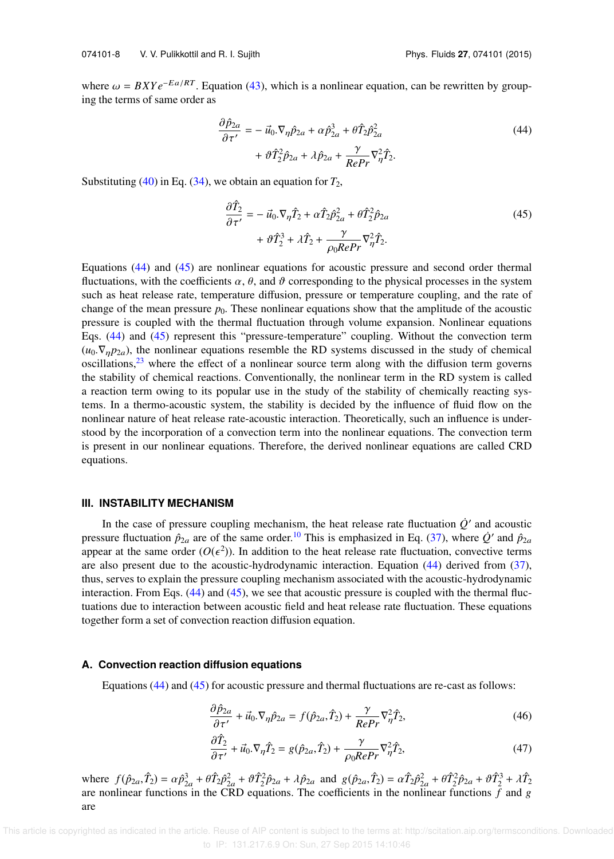where  $\omega = BXYe^{-Ea/RT}$ . Equation (43), which is a nonlinear equation, can be rewritten by grouping the terms of same order as

$$
\frac{\partial \hat{p}_{2a}}{\partial \tau'} = -\vec{u}_0 \cdot \nabla_{\eta} \hat{p}_{2a} + \alpha \hat{p}_{2a}^3 + \theta \hat{T}_2 \hat{p}_{2a}^2 \n+ \theta \hat{T}_2^2 \hat{p}_{2a} + \lambda \hat{p}_{2a} + \frac{\gamma}{RePr} \nabla_{\eta}^2 \hat{T}_2.
$$
\n(44)

Substituting  $(40)$  in Eq.  $(34)$ , we obtain an equation for  $T_2$ ,

$$
\frac{\partial \hat{T}_2}{\partial \tau'} = -\vec{u}_0 \cdot \nabla_{\eta} \hat{T}_2 + \alpha \hat{T}_2 \hat{p}_{2a}^2 + \theta \hat{T}_2^2 \hat{p}_{2a} \n+ \theta \hat{T}_2^3 + \lambda \hat{T}_2 + \frac{\gamma}{\rho_0 R e Pr} \nabla_{\eta}^2 \hat{T}_2.
$$
\n(45)

Equations (44) and (45) are nonlinear equations for acoustic pressure and second order thermal fluctuations, with the coefficients  $\alpha$ ,  $\theta$ , and  $\vartheta$  corresponding to the physical processes in the system such as heat release rate, temperature diffusion, pressure or temperature coupling, and the rate of change of the mean pressure  $p_0$ . These nonlinear equations show that the amplitude of the acoustic pressure is coupled with the thermal fluctuation through volume expansion. Nonlinear equations Eqs. (44) and (45) represent this "pressure-temperature" coupling. Without the convection term  $(u_0, \nabla_{\eta} p_{2a})$ , the nonlinear equations resemble the RD systems discussed in the study of chemical oscillations, $^{23}$  where the effect of a nonlinear source term along with the diffusion term governs the stability of chemical reactions. Conventionally, the nonlinear term in the RD system is called a reaction term owing to its popular use in the study of the stability of chemically reacting systems. In a thermo-acoustic system, the stability is decided by the influence of fluid flow on the nonlinear nature of heat release rate-acoustic interaction. Theoretically, such an influence is understood by the incorporation of a convection term into the nonlinear equations. The convection term is present in our nonlinear equations. Therefore, the derived nonlinear equations are called CRD equations.

#### **III. INSTABILITY MECHANISM**

In the case of pressure coupling mechanism, the heat release rate fluctuation  $\dot{Q}'$  and acoustic pressure fluctuation  $\hat{p}_{2a}$  are of the same order.<sup>10</sup> This is emphasized in Eq. (37), where  $\dot{Q}'$  and  $\hat{p}_{2a}$ appear at the same order  $(O(\epsilon^2))$ . In addition to the heat release rate fluctuation, convective terms are also present due to the acoustic-hydrodynamic interaction. Equation (44) derived from (37), thus, serves to explain the pressure coupling mechanism associated with the acoustic-hydrodynamic interaction. From Eqs.  $(44)$  and  $(45)$ , we see that acoustic pressure is coupled with the thermal fluctuations due to interaction between acoustic field and heat release rate fluctuation. These equations together form a set of convection reaction diffusion equation.

#### **A. Convection reaction diffusion equations**

Equations  $(44)$  and  $(45)$  for acoustic pressure and thermal fluctuations are re-cast as follows:

$$
\frac{\partial \hat{p}_{2a}}{\partial \tau'} + \vec{u}_0 \cdot \nabla_{\eta} \hat{p}_{2a} = f(\hat{p}_{2a}, \hat{T}_2) + \frac{\gamma}{RePr} \nabla_{\eta}^2 \hat{T}_2,\tag{46}
$$

$$
\frac{\partial \hat{T}_2}{\partial \tau'} + \vec{u}_0 \cdot \nabla_\eta \hat{T}_2 = g(\hat{p}_{2a}, \hat{T}_2) + \frac{\gamma}{\rho_0 RePr} \nabla_\eta^2 \hat{T}_2,\tag{47}
$$

where  $f(\hat{p}_{2a}, \hat{T}_2) = \alpha \hat{p}_{2a}^3 + \theta \hat{T}_2 \hat{p}_{2a}^2 + \theta \hat{T}_2^2 \hat{p}_{2a} + \lambda \hat{p}_{2a}$  and  $g(\hat{p}_{2a}, \hat{T}_2) = \alpha \hat{T}_2 \hat{p}_{2a}^2 + \theta \hat{T}_2^2 \hat{p}_{2a} + \theta \hat{T}_2^3 + \lambda \hat{T}_2$ are nonlinear functions in the CRD equations. The coefficients in the nonlinear functions  $f$  and  $g$ are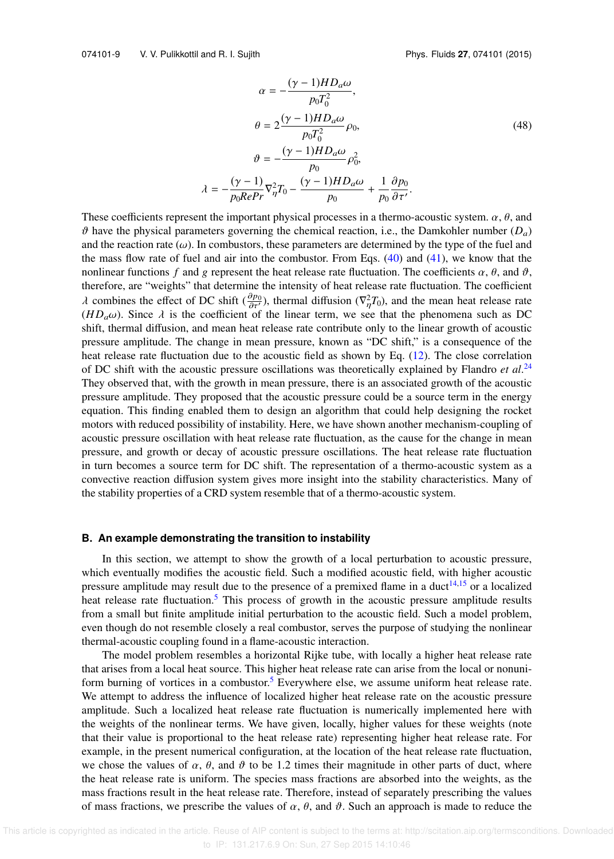$$
\alpha = -\frac{(\gamma - 1)HD_a\omega}{p_0 T_0^2},
$$
  
\n
$$
\theta = 2\frac{(\gamma - 1)HD_a\omega}{p_0 T_0^2} \rho_0,
$$
  
\n
$$
\vartheta = -\frac{(\gamma - 1)HD_a\omega}{p_0 \rho_0^2} \rho_0^2,
$$
  
\n
$$
\lambda = -\frac{(\gamma - 1)}{p_0 RePr} \nabla_{\eta}^2 T_0 - \frac{(\gamma - 1)HD_a\omega}{p_0 \rho_0} + \frac{1}{p_0} \frac{\partial p_0}{\partial \tau'}.
$$
\n(48)

These coefficients represent the important physical processes in a thermo-acoustic system.  $\alpha$ ,  $\theta$ , and  $\vartheta$  have the physical parameters governing the chemical reaction, i.e., the Damkohler number  $(D_a)$ and the reaction rate  $(\omega)$ . In combustors, these parameters are determined by the type of the fuel and the mass flow rate of fuel and air into the combustor. From Eqs.  $(40)$  and  $(41)$ , we know that the nonlinear functions *f* and g represent the heat release rate fluctuation. The coefficients  $\alpha$ ,  $\theta$ , and  $\vartheta$ , therefore, are "weights" that determine the intensity of heat release rate fluctuation. The coefficient  $λ$  combines the effect of DC shift ( $\frac{\partial p_0}{\partial \tau}$ ), thermal diffusion ( $\nabla^2_\eta T_0$ ), and the mean heat release rate  $(HD_a\omega)$ . Since  $\lambda$  is the coefficient of the linear term, we see that the phenomena such as DC shift, thermal diffusion, and mean heat release rate contribute only to the linear growth of acoustic pressure amplitude. The change in mean pressure, known as "DC shift," is a consequence of the heat release rate fluctuation due to the acoustic field as shown by Eq. (12). The close correlation of DC shift with the acoustic pressure oscillations was theoretically explained by Flandro *et al*. 24 They observed that, with the growth in mean pressure, there is an associated growth of the acoustic pressure amplitude. They proposed that the acoustic pressure could be a source term in the energy equation. This finding enabled them to design an algorithm that could help designing the rocket motors with reduced possibility of instability. Here, we have shown another mechanism-coupling of acoustic pressure oscillation with heat release rate fluctuation, as the cause for the change in mean pressure, and growth or decay of acoustic pressure oscillations. The heat release rate fluctuation in turn becomes a source term for DC shift. The representation of a thermo-acoustic system as a convective reaction diffusion system gives more insight into the stability characteristics. Many of the stability properties of a CRD system resemble that of a thermo-acoustic system.

#### **B. An example demonstrating the transition to instability**

In this section, we attempt to show the growth of a local perturbation to acoustic pressure, which eventually modifies the acoustic field. Such a modified acoustic field, with higher acoustic pressure amplitude may result due to the presence of a premixed flame in a duct<sup>14,15</sup> or a localized heat release rate fluctuation.<sup>5</sup> This process of growth in the acoustic pressure amplitude results from a small but finite amplitude initial perturbation to the acoustic field. Such a model problem, even though do not resemble closely a real combustor, serves the purpose of studying the nonlinear thermal-acoustic coupling found in a flame-acoustic interaction.

The model problem resembles a horizontal Rijke tube, with locally a higher heat release rate that arises from a local heat source. This higher heat release rate can arise from the local or nonuniform burning of vortices in a combustor.<sup>5</sup> Everywhere else, we assume uniform heat release rate. We attempt to address the influence of localized higher heat release rate on the acoustic pressure amplitude. Such a localized heat release rate fluctuation is numerically implemented here with the weights of the nonlinear terms. We have given, locally, higher values for these weights (note that their value is proportional to the heat release rate) representing higher heat release rate. For example, in the present numerical configuration, at the location of the heat release rate fluctuation, we chose the values of  $\alpha$ ,  $\theta$ , and  $\vartheta$  to be 1.2 times their magnitude in other parts of duct, where the heat release rate is uniform. The species mass fractions are absorbed into the weights, as the mass fractions result in the heat release rate. Therefore, instead of separately prescribing the values of mass fractions, we prescribe the values of  $\alpha$ ,  $\theta$ , and  $\vartheta$ . Such an approach is made to reduce the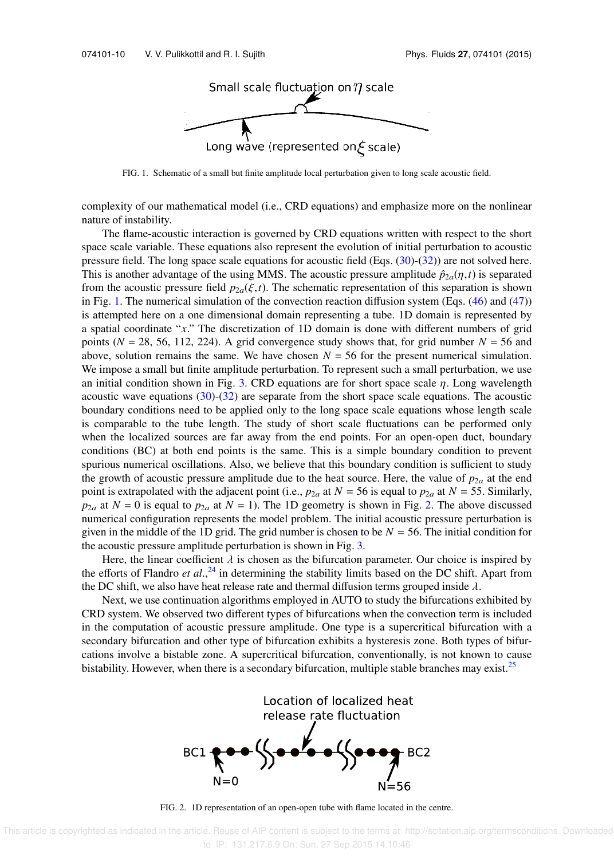

FIG. 1. Schematic of a small but finite amplitude local perturbation given to long scale acoustic field.

complexity of our mathematical model (i.e., CRD equations) and emphasize more on the nonlinear nature of instability.

The flame-acoustic interaction is governed by CRD equations written with respect to the short space scale variable. These equations also represent the evolution of initial perturbation to acoustic pressure field. The long space scale equations for acoustic field (Eqs.  $(30)-(32)$ ) are not solved here. This is another advantage of the using MMS. The acoustic pressure amplitude  $\hat{p}_{2a}(\eta,t)$  is separated from the acoustic pressure field  $p_{2a}(\xi,t)$ . The schematic representation of this separation is shown in Fig. 1. The numerical simulation of the convection reaction diffusion system (Eqs.  $(46)$  and  $(47)$ ) is attempted here on a one dimensional domain representing a tube. 1D domain is represented by a spatial coordinate "*x*." The discretization of 1D domain is done with different numbers of grid points ( $N = 28, 56, 112, 224$ ). A grid convergence study shows that, for grid number  $N = 56$  and above, solution remains the same. We have chosen  $N = 56$  for the present numerical simulation. We impose a small but finite amplitude perturbation. To represent such a small perturbation, we use an initial condition shown in Fig. 3. CRD equations are for short space scale  $\eta$ . Long wavelength acoustic wave equations (30)-(32) are separate from the short space scale equations. The acoustic boundary conditions need to be applied only to the long space scale equations whose length scale is comparable to the tube length. The study of short scale fluctuations can be performed only when the localized sources are far away from the end points. For an open-open duct, boundary conditions (BC) at both end points is the same. This is a simple boundary condition to prevent spurious numerical oscillations. Also, we believe that this boundary condition is sufficient to study the growth of acoustic pressure amplitude due to the heat source. Here, the value of  $p_{2a}$  at the end point is extrapolated with the adjacent point (i.e.,  $p_{2a}$  at  $N = 56$  is equal to  $p_{2a}$  at  $N = 55$ . Similarly,  $p_{2a}$  at  $N = 0$  is equal to  $p_{2a}$  at  $N = 1$ ). The 1D geometry is shown in Fig. 2. The above discussed numerical configuration represents the model problem. The initial acoustic pressure perturbation is given in the middle of the 1D grid. The grid number is chosen to be  $N = 56$ . The initial condition for the acoustic pressure amplitude perturbation is shown in Fig. 3.

Here, the linear coefficient  $\lambda$  is chosen as the bifurcation parameter. Our choice is inspired by the efforts of Flandro *et al*., <sup>24</sup> in determining the stability limits based on the DC shift. Apart from the DC shift, we also have heat release rate and thermal diffusion terms grouped inside  $\lambda$ .

Next, we use continuation algorithms employed in AUTO to study the bifurcations exhibited by CRD system. We observed two different types of bifurcations when the convection term is included in the computation of acoustic pressure amplitude. One type is a supercritical bifurcation with a secondary bifurcation and other type of bifurcation exhibits a hysteresis zone. Both types of bifurcations involve a bistable zone. A supercritical bifurcation, conventionally, is not known to cause bistability. However, when there is a secondary bifurcation, multiple stable branches may exist.<sup>25</sup>



FIG. 2. 1D representation of an open-open tube with flame located in the centre.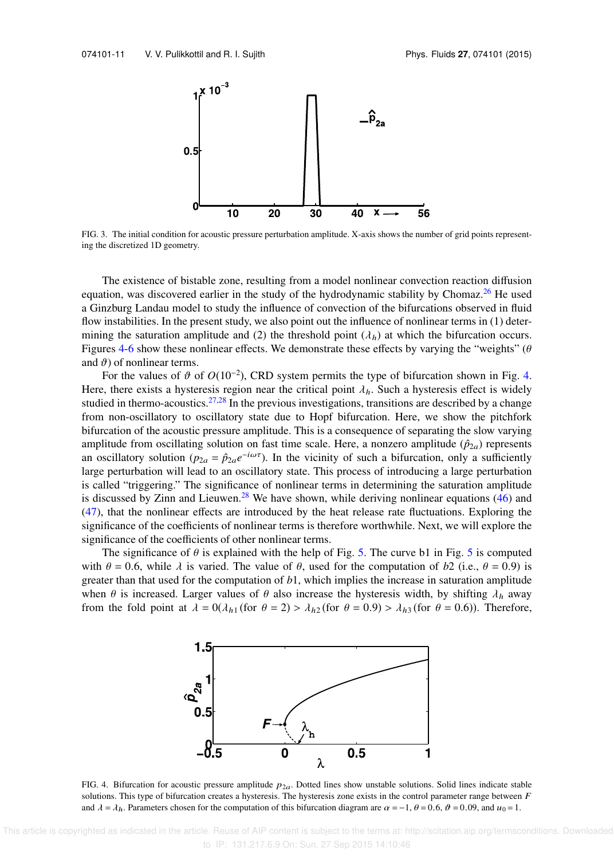

FIG. 3. The initial condition for acoustic pressure perturbation amplitude. X-axis shows the number of grid points representing the discretized 1D geometry.

The existence of bistable zone, resulting from a model nonlinear convection reaction diffusion equation, was discovered earlier in the study of the hydrodynamic stability by Chomaz.<sup>26</sup> He used a Ginzburg Landau model to study the influence of convection of the bifurcations observed in fluid flow instabilities. In the present study, we also point out the influence of nonlinear terms in (1) determining the saturation amplitude and (2) the threshold point  $(\lambda_h)$  at which the bifurcation occurs. Figures 4-6 show these nonlinear effects. We demonstrate these effects by varying the "weights" ( $\theta$ and  $\vartheta$ ) of nonlinear terms.

For the values of  $\vartheta$  of  $O(10^{-2})$ , CRD system permits the type of bifurcation shown in Fig. 4. Here, there exists a hysteresis region near the critical point  $\lambda_h$ . Such a hysteresis effect is widely studied in thermo-acoustics. $27,28$  In the previous investigations, transitions are described by a change from non-oscillatory to oscillatory state due to Hopf bifurcation. Here, we show the pitchfork bifurcation of the acoustic pressure amplitude. This is a consequence of separating the slow varying amplitude from oscillating solution on fast time scale. Here, a nonzero amplitude  $(\hat{p}_{2a})$  represents an oscillatory solution ( $p_{2a} = \hat{p}_{2a}e^{-i\omega\tau}$ ). In the vicinity of such a bifurcation, only a sufficiently large perturbation will lead to an oscillatory state. This process of introducing a large perturbation is called "triggering." The significance of nonlinear terms in determining the saturation amplitude is discussed by Zinn and Lieuwen.<sup>28</sup> We have shown, while deriving nonlinear equations  $(46)$  and (47), that the nonlinear effects are introduced by the heat release rate fluctuations. Exploring the significance of the coefficients of nonlinear terms is therefore worthwhile. Next, we will explore the significance of the coefficients of other nonlinear terms.

The significance of  $\theta$  is explained with the help of Fig. 5. The curve b1 in Fig. 5 is computed with  $\theta = 0.6$ , while  $\lambda$  is varied. The value of  $\theta$ , used for the computation of b2 (i.e.,  $\theta = 0.9$ ) is greater than that used for the computation of *b*1, which implies the increase in saturation amplitude when  $\theta$  is increased. Larger values of  $\theta$  also increase the hysteresis width, by shifting  $\lambda_h$  away from the fold point at  $\lambda = 0(\lambda_{h1}$  (for  $\theta = 2) > \lambda_{h2}$  (for  $\theta = 0.9$ )  $> \lambda_{h3}$  (for  $\theta = 0.6$ )). Therefore,



FIG. 4. Bifurcation for acoustic pressure amplitude  $p_{2a}$ . Dotted lines show unstable solutions. Solid lines indicate stable solutions. This type of bifurcation creates a hysteresis. The hysteresis zone exists in the control parameter range between  $F$ and  $\lambda = \lambda_h$ . Parameters chosen for the computation of this bifurcation diagram are  $\alpha = -1$ ,  $\theta = 0.6$ ,  $\vartheta = 0.09$ , and  $u_0 = 1$ .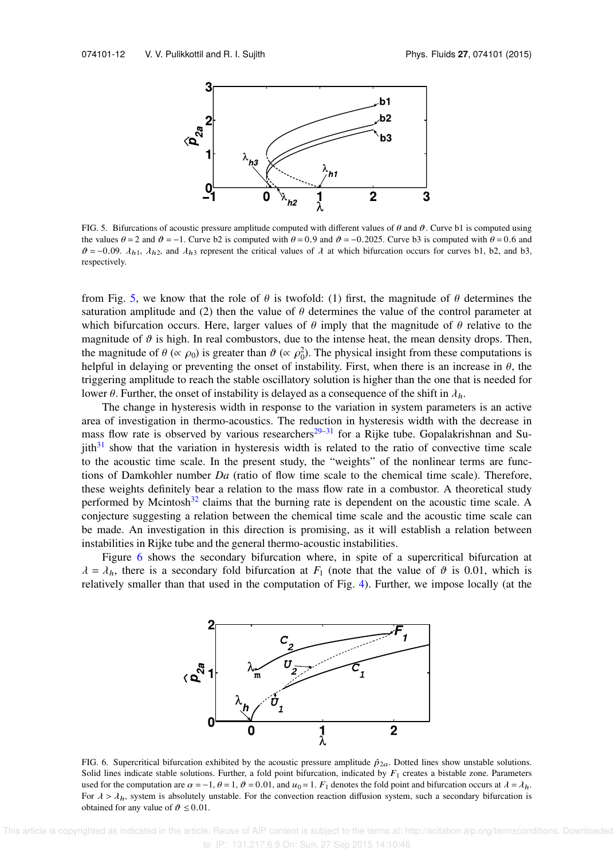

FIG. 5. Bifurcations of acoustic pressure amplitude computed with different values of  $\theta$  and  $\vartheta$ . Curve b1 is computed using the values  $\theta = 2$  and  $\vartheta = -1$ . Curve b2 is computed with  $\theta = 0.9$  and  $\vartheta = -0.2025$ . Curve b3 is computed with  $\theta = 0.6$  and  $\vartheta = -0.09$ .  $\lambda_{h1}$ ,  $\lambda_{h2}$ , and  $\lambda_{h3}$  represent the critical values of  $\lambda$  at which bifurcation occurs for curves b1, b2, and b3, respectively.

from Fig. 5, we know that the role of  $\theta$  is twofold: (1) first, the magnitude of  $\theta$  determines the saturation amplitude and (2) then the value of  $\theta$  determines the value of the control parameter at which bifurcation occurs. Here, larger values of  $\theta$  imply that the magnitude of  $\theta$  relative to the magnitude of  $\vartheta$  is high. In real combustors, due to the intense heat, the mean density drops. Then, the magnitude of  $\theta$  ( $\propto \rho_0$ ) is greater than  $\vartheta$  ( $\propto \rho_0^2$ ). The physical insight from these computations is helpful in delaying or preventing the onset of instability. First, when there is an increase in  $\theta$ , the triggering amplitude to reach the stable oscillatory solution is higher than the one that is needed for lower  $\theta$ . Further, the onset of instability is delayed as a consequence of the shift in  $\lambda_h$ .

The change in hysteresis width in response to the variation in system parameters is an active area of investigation in thermo-acoustics. The reduction in hysteresis width with the decrease in mass flow rate is observed by various researchers<sup>29–31</sup> for a Rijke tube. Gopalakrishnan and Su $jith<sup>31</sup>$  show that the variation in hysteresis width is related to the ratio of convective time scale to the acoustic time scale. In the present study, the "weights" of the nonlinear terms are functions of Damkohler number *Da* (ratio of flow time scale to the chemical time scale). Therefore, these weights definitely bear a relation to the mass flow rate in a combustor. A theoretical study performed by Mcintosh $32$  claims that the burning rate is dependent on the acoustic time scale. A conjecture suggesting a relation between the chemical time scale and the acoustic time scale can be made. An investigation in this direction is promising, as it will establish a relation between instabilities in Rijke tube and the general thermo-acoustic instabilities.

Figure 6 shows the secondary bifurcation where, in spite of a supercritical bifurcation at  $\lambda = \lambda_h$ , there is a secondary fold bifurcation at *F*<sub>1</sub> (note that the value of  $\vartheta$  is 0.01, which is relatively smaller than that used in the computation of Fig. 4). Further, we impose locally (at the



FIG. 6. Supercritical bifurcation exhibited by the acoustic pressure amplitude  $\hat{p}_{2a}$ . Dotted lines show unstable solutions. Solid lines indicate stable solutions. Further, a fold point bifurcation, indicated by  $F_1$  creates a bistable zone. Parameters used for the computation are  $\alpha = -1$ ,  $\theta = 1$ ,  $\vartheta = 0.01$ , and  $u_0 = 1$ .  $F_1$  denotes the fold point and bifurcation occurs at  $\lambda = \lambda_h$ . For  $\lambda > \lambda_h$ , system is absolutely unstable. For the convection reaction diffusion system, such a secondary bifurcation is obtained for any value of  $\vartheta \leq 0.01$ .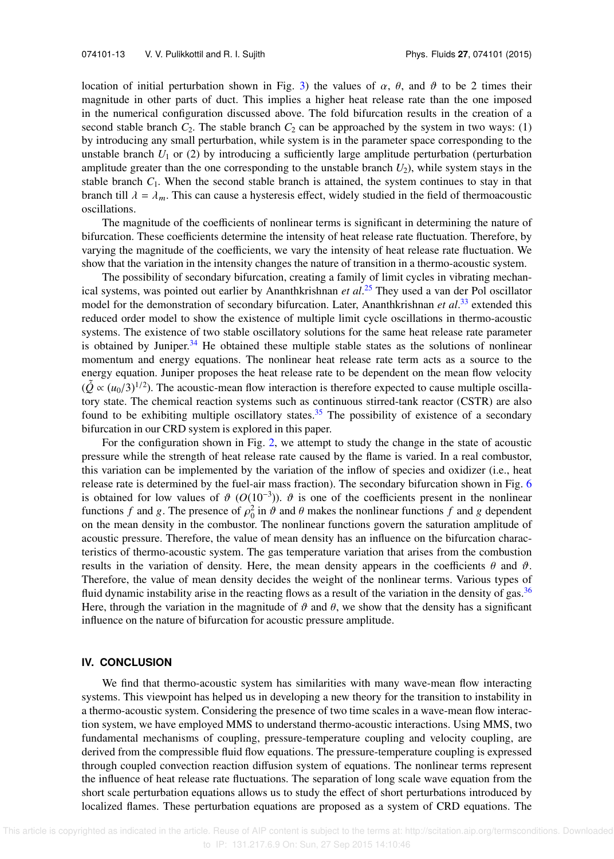location of initial perturbation shown in Fig. 3) the values of  $\alpha$ ,  $\theta$ , and  $\vartheta$  to be 2 times their magnitude in other parts of duct. This implies a higher heat release rate than the one imposed in the numerical configuration discussed above. The fold bifurcation results in the creation of a second stable branch  $C_2$ . The stable branch  $C_2$  can be approached by the system in two ways: (1) by introducing any small perturbation, while system is in the parameter space corresponding to the unstable branch  $U_1$  or (2) by introducing a sufficiently large amplitude perturbation (perturbation amplitude greater than the one corresponding to the unstable branch  $U_2$ ), while system stays in the stable branch  $C_1$ . When the second stable branch is attained, the system continues to stay in that branch till  $\lambda = \lambda_m$ . This can cause a hysteresis effect, widely studied in the field of thermoacoustic oscillations.

The magnitude of the coefficients of nonlinear terms is significant in determining the nature of bifurcation. These coefficients determine the intensity of heat release rate fluctuation. Therefore, by varying the magnitude of the coefficients, we vary the intensity of heat release rate fluctuation. We show that the variation in the intensity changes the nature of transition in a thermo-acoustic system.

The possibility of secondary bifurcation, creating a family of limit cycles in vibrating mechanical systems, was pointed out earlier by Ananthkrishnan *et al*. <sup>25</sup> They used a van der Pol oscillator model for the demonstration of secondary bifurcation. Later, Ananthkrishnan *et al*. <sup>33</sup> extended this reduced order model to show the existence of multiple limit cycle oscillations in thermo-acoustic systems. The existence of two stable oscillatory solutions for the same heat release rate parameter is obtained by Juniper. $34$  He obtained these multiple stable states as the solutions of nonlinear momentum and energy equations. The nonlinear heat release rate term acts as a source to the energy equation. Juniper proposes the heat release rate to be dependent on the mean flow velocity  $(\tilde{Q} \propto (u_0/3)^{1/2})$ . The acoustic-mean flow interaction is therefore expected to cause multiple oscillatory state. The chemical reaction systems such as continuous stirred-tank reactor (CSTR) are also found to be exhibiting multiple oscillatory states.<sup>35</sup> The possibility of existence of a secondary bifurcation in our CRD system is explored in this paper.

For the configuration shown in Fig. 2, we attempt to study the change in the state of acoustic pressure while the strength of heat release rate caused by the flame is varied. In a real combustor, this variation can be implemented by the variation of the inflow of species and oxidizer (i.e., heat release rate is determined by the fuel-air mass fraction). The secondary bifurcation shown in Fig. 6 is obtained for low values of  $\vartheta$  ( $O(10^{-3})$ ).  $\vartheta$  is one of the coefficients present in the nonlinear functions *f* and *g*. The presence of  $\rho_0^2$  in  $\vartheta$  and  $\theta$  makes the nonlinear functions *f* and *g* dependent on the mean density in the combustor. The nonlinear functions govern the saturation amplitude of acoustic pressure. Therefore, the value of mean density has an influence on the bifurcation characteristics of thermo-acoustic system. The gas temperature variation that arises from the combustion results in the variation of density. Here, the mean density appears in the coefficients  $\theta$  and  $\vartheta$ . Therefore, the value of mean density decides the weight of the nonlinear terms. Various types of fluid dynamic instability arise in the reacting flows as a result of the variation in the density of gas.<sup>36</sup> Here, through the variation in the magnitude of  $\vartheta$  and  $\theta$ , we show that the density has a significant influence on the nature of bifurcation for acoustic pressure amplitude.

### **IV. CONCLUSION**

We find that thermo-acoustic system has similarities with many wave-mean flow interacting systems. This viewpoint has helped us in developing a new theory for the transition to instability in a thermo-acoustic system. Considering the presence of two time scales in a wave-mean flow interaction system, we have employed MMS to understand thermo-acoustic interactions. Using MMS, two fundamental mechanisms of coupling, pressure-temperature coupling and velocity coupling, are derived from the compressible fluid flow equations. The pressure-temperature coupling is expressed through coupled convection reaction diffusion system of equations. The nonlinear terms represent the influence of heat release rate fluctuations. The separation of long scale wave equation from the short scale perturbation equations allows us to study the effect of short perturbations introduced by localized flames. These perturbation equations are proposed as a system of CRD equations. The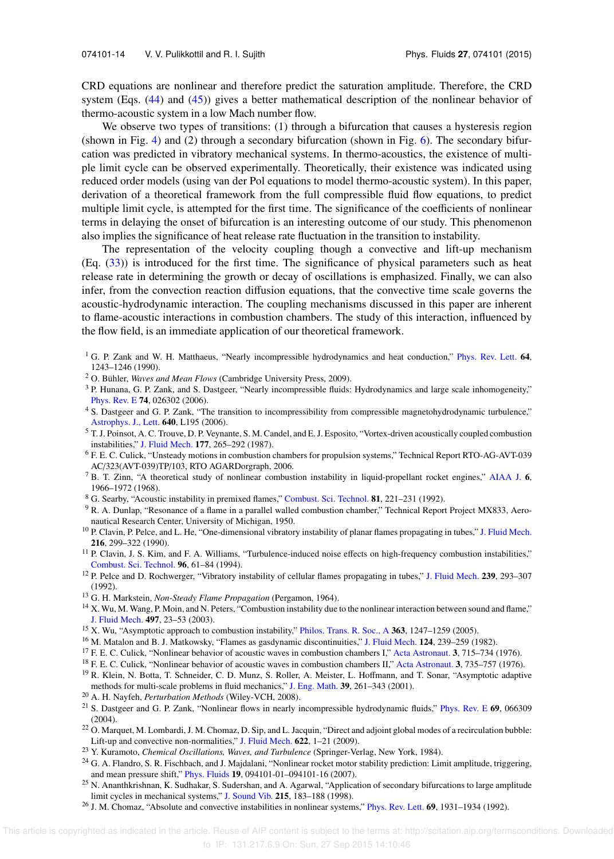CRD equations are nonlinear and therefore predict the saturation amplitude. Therefore, the CRD system (Eqs. (44) and (45)) gives a better mathematical description of the nonlinear behavior of thermo-acoustic system in a low Mach number flow.

We observe two types of transitions: (1) through a bifurcation that causes a hysteresis region (shown in Fig. 4) and (2) through a secondary bifurcation (shown in Fig. 6). The secondary bifurcation was predicted in vibratory mechanical systems. In thermo-acoustics, the existence of multiple limit cycle can be observed experimentally. Theoretically, their existence was indicated using reduced order models (using van der Pol equations to model thermo-acoustic system). In this paper, derivation of a theoretical framework from the full compressible fluid flow equations, to predict multiple limit cycle, is attempted for the first time. The significance of the coefficients of nonlinear terms in delaying the onset of bifurcation is an interesting outcome of our study. This phenomenon also implies the significance of heat release rate fluctuation in the transition to instability.

The representation of the velocity coupling though a convective and lift-up mechanism (Eq. (33)) is introduced for the first time. The significance of physical parameters such as heat release rate in determining the growth or decay of oscillations is emphasized. Finally, we can also infer, from the convection reaction diffusion equations, that the convective time scale governs the acoustic-hydrodynamic interaction. The coupling mechanisms discussed in this paper are inherent to flame-acoustic interactions in combustion chambers. The study of this interaction, influenced by the flow field, is an immediate application of our theoretical framework.

<sup>1</sup> G. P. Zank and W. H. Matthaeus, "Nearly incompressible hydrodynamics and heat conduction," Phys. Rev. Lett. 64, 1243–1246 (1990).

- <sup>2</sup> O. Bühler, *Waves and Mean Flows* (Cambridge University Press, 2009).
- <sup>3</sup> P. Hunana, G. P. Zank, and S. Dastgeer, "Nearly incompressible fluids: Hydrodynamics and large scale inhomogeneity," Phys. Rev. E 74, 026302 (2006).
- <sup>4</sup> S. Dastgeer and G. P. Zank, "The transition to incompressibility from compressible magnetohydrodynamic turbulence," Astrophys. J., Lett. 640, L195 (2006).
- <sup>5</sup> T. J. Poinsot, A. C. Trouve, D. P. Veynante, S. M. Candel, and E. J. Esposito, "Vortex-driven acoustically coupled combustion instabilities," J. Fluid Mech. 177, 265–292 (1987).
- <sup>6</sup> F. E. C. Culick, "Unsteady motions in combustion chambers for propulsion systems," Technical Report RTO-AG-AVT-039 AC/323(AVT-039)TP/103, RTO AGARDorgraph, 2006.
- <sup>7</sup> B. T. Zinn, "A theoretical study of nonlinear combustion instability in liquid-propellant rocket engines," AIAA J. 6, 1966–1972 (1968).
- <sup>8</sup> G. Searby, "Acoustic instability in premixed flames," Combust. Sci. Technol. 81, 221–231 (1992).
- <sup>9</sup> R. A. Dunlap, "Resonance of a flame in a parallel walled combustion chamber," Technical Report Project MX833, Aeronautical Research Center, University of Michigan, 1950.
- <sup>10</sup> P. Clavin, P. Pelce, and L. He, "One-dimensional vibratory instability of planar flames propagating in tubes," J. Fluid Mech. 216, 299–322 (1990).
- <sup>11</sup> P. Clavin, J. S. Kim, and F. A. Williams, "Turbulence-induced noise effects on high-frequency combustion instabilities," Combust. Sci. Technol. 96, 61–84 (1994).
- <sup>12</sup> P. Pelce and D. Rochwerger, "Vibratory instability of cellular flames propagating in tubes," J. Fluid Mech.  $239$ , 293–307 (1992).
- <sup>13</sup> G. H. Markstein, *Non-Steady Flame Propagation* (Pergamon, 1964).
- <sup>14</sup> X. Wu, M. Wang, P. Moin, and N. Peters, "Combustion instability due to the nonlinear interaction between sound and flame," J. Fluid Mech. 497, 23–53 (2003).
- <sup>15</sup> X. Wu, "Asymptotic approach to combustion instability," Philos. Trans. R. Soc., A 363, 1247-1259 (2005).
- <sup>16</sup> M. Matalon and B. J. Matkowsky, "Flames as gasdynamic discontinuities," J. Fluid Mech. 124, 239–259 (1982).
- <sup>17</sup> F. E. C. Culick, "Nonlinear behavior of acoustic waves in combustion chambers I," Acta Astronaut. 3, 715–734 (1976).
- <sup>18</sup> F. E. C. Culick, "Nonlinear behavior of acoustic waves in combustion chambers II," Acta Astronaut. 3, 735–757 (1976).
- <sup>19</sup> R. Klein, N. Botta, T. Schneider, C. D. Munz, S. Roller, A. Meister, L. Hoffmann, and T. Sonar, "Asymptotic adaptive methods for multi-scale problems in fluid mechanics," J. Eng. Math. 39, 261–343 (2001).
- <sup>20</sup> A. H. Nayfeh, *Perturbation Methods* (Wiley-VCH, 2008).
- <sup>21</sup> S. Dastgeer and G. P. Zank, "Nonlinear flows in nearly incompressible hydrodynamic fluids," Phys. Rev. E 69, 066309 (2004).
- $22$  O. Marquet, M. Lombardi, J. M. Chomaz, D. Sip, and L. Jacquin, "Direct and adjoint global modes of a recirculation bubble: Lift-up and convective non-normalities," J. Fluid Mech. 622, 1–21 (2009).
- <sup>23</sup> Y. Kuramoto, *Chemical Oscillations, Waves, and Turbulence* (Springer-Verlag, New York, 1984).
- <sup>24</sup> G. A. Flandro, S. R. Fischbach, and J. Majdalani, "Nonlinear rocket motor stability prediction: Limit amplitude, triggering, and mean pressure shift," Phys. Fluids 19, 094101-01–094101-16 (2007).
- <sup>25</sup> N. Ananthkrishnan, K. Sudhakar, S. Sudershan, and A. Agarwal, "Application of secondary bifurcations to large amplitude limit cycles in mechanical systems," J. Sound Vib. 215, 183–188 (1998).
- <sup>26</sup> J. M. Chomaz, "Absolute and convective instabilities in nonlinear systems," Phys. Rev. Lett. **69**, 1931–1934 (1992).